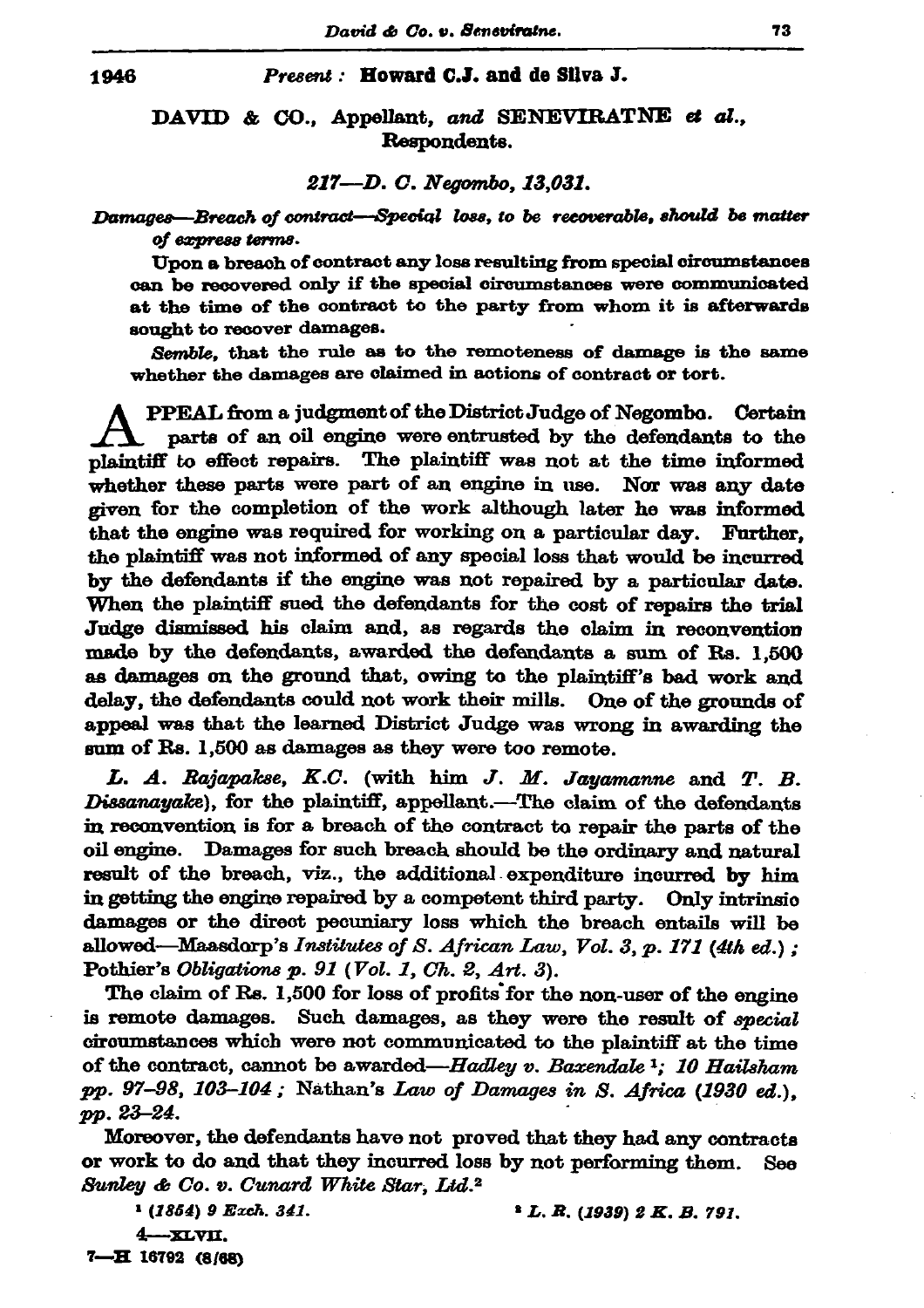## Present: Howard C.J. and de Silva J.

## DAVID & CO., Appellant, and SENEVIRATNE et al., Respondents.

## 217-D. C. Negombo, 13,031.

Damages—Breach of contract—Special loss, to be recoverable, should be matter of express terms.

Upon a breach of contract any loss resulting from special circumstances can be recovered only if the special circumstances were communicated at the time of the contract to the party from whom it is afterwards sought to recover damages.

Semble, that the rule as to the remoteness of damage is the same whether the damages are claimed in actions of contract or tort.

PPEAL from a judgment of the District Judge of Negombo. Certain parts of an oil engine were entrusted by the defendants to the plaintiff to effect repairs. The plaintiff was not at the time informed whether these parts were part of an engine in use. Nor was any date given for the completion of the work although later he was informed that the engine was required for working on a particular day. Further, the plaintiff was not informed of any special loss that would be incurred by the defendants if the engine was not repaired by a particular date. When the plaintiff sued the defendants for the cost of repairs the trial Judge dismissed his claim and, as regards the claim in reconvention made by the defendants, awarded the defendants a sum of Rs. 1,500 as damages on the ground that, owing to the plaintiff's bad work and delay, the defendants could not work their mills. One of the grounds of anneal was that the learned District Judge was wrong in awarding the sum of Rs. 1,500 as damages as they were too remote.

L. A. Rajapakse, K.C. (with him J. M. Jayamanne and T. B. Dissanayake), for the plaintiff, appellant.—The claim of the defendants in reconvention is for a breach of the contract to repair the parts of the oil engine. Damages for such breach should be the ordinary and natural result of the breach, viz., the additional expenditure incurred by him in getting the engine repaired by a competent third party. Only intrinsic damages or the direct pecuniary loss which the breach entails will be allowed—Maasdorp's Institutes of S. African Law, Vol. 3, p. 171 (4th ed.); Pothier's Obligations  $p. 91$  (Vol. 1, Ch. 2, Art. 3).

The claim of Rs. 1,500 for loss of profits for the non-user of the engine is remote damages. Such damages, as they were the result of special circumstances which were not communicated to the plaintiff at the time of the contract, cannot be awarded—Hadley v. Baxendale<sup>1</sup>; 10 Hailsham pp. 97-98, 103-104; Nathan's Law of Damages in S. Africa (1930 ed.), pp. 23-24.

Moreover, the defendants have not proved that they had any contracts or work to do and that they incurred loss by not performing them. See Sunley & Co. v. Cunard White Star, Ltd.<sup>2</sup>

<sup>1</sup> (1854) 9 Exch. 341.

 $1 L. R. (1939) 2 K. B. 791.$ 

 $4 - x x y x$ 

7-H 16792 (8/68)

1946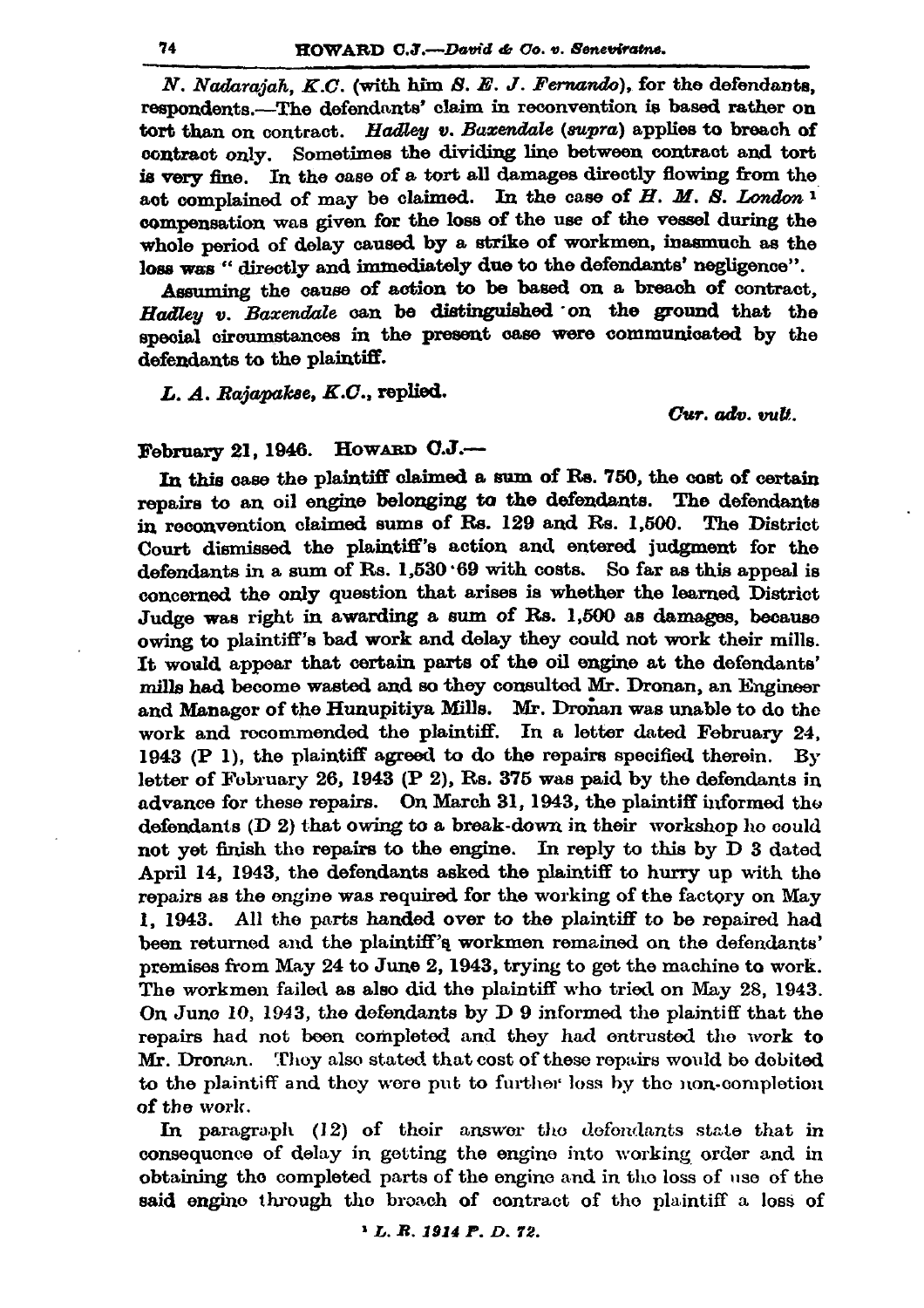N. Nadarajah, K.C. (with him S. E. J. Fernando), for the defendants. respondents.-The defendants' claim in reconvention is based rather on tort than on contract. Hadley v. Baxendale (supra) applies to breach of contract only. Sometimes the dividing line between contract and tort is very fine. In the case of a tort all damages directly flowing from the act complained of may be claimed. In the case of  $H.$   $M.$   $S.$  London<sup>1</sup> compensation was given for the loss of the use of the vessel during the whole period of delay caused by a strike of workmen, inasmuch as the loss was " directly and immediately due to the defendants' negligence".

Assuming the cause of action to be based on a breach of contract. Hadley v. Baxendale can be distinguished on the ground that the special circumstances in the present case were communicated by the defendants to the plaintiff.

L. A. Rajapakse, K.C., replied.

Cur. adv. vult.

## February 21, 1946. HOWARD C.J.-

In this case the plaintiff claimed a sum of Rs. 750, the cost of certain repairs to an oil engine belonging to the defendants. The defendants in reconvention claimed sums of Rs. 129 and Rs. 1,500. The District Court dismissed the plaintiff's action and entered judgment for the defendants in a sum of Rs. 1,530 69 with costs. So far as this appeal is concerned the only question that arises is whether the learned District Judge was right in awarding a sum of Rs. 1,500 as damages, because owing to plaintiff's bad work and delay they could not work their mills. It would appear that certain parts of the oil engine at the defendants' mills had become wasted and so they consulted Mr. Dronan, an Engineer and Manager of the Hunupitiya Mills. Mr. Dronan was unable to do the work and recommended the plaintiff. In a letter dated February 24, 1943 (P 1), the plaintiff agreed to do the repairs specified therein. By letter of February 26, 1943 (P 2), Rs. 375 was paid by the defendants in advance for these repairs. On March 31, 1943, the plaintiff informed the defendants (D 2) that owing to a break-down in their workshop he could not yet finish the repairs to the engine. In reply to this by D 3 dated April 14, 1943, the defendants asked the plaintiff to hurry up with the repairs as the ongine was required for the working of the factory on May 1, 1943. All the parts handed over to the plaintiff to be repaired had been returned and the plaintiff's workmen remained on the defendants' premises from May 24 to June 2, 1943, trying to get the machine to work. The workmen failed as also did the plaintiff who tried on May 28, 1943. On June 10, 1943, the defendants by D 9 informed the plaintiff that the repairs had not been completed and they had entrusted the work to Mr. Dronan. Thoy also stated that cost of these repairs would be debited to the plaintiff and thoy were put to further loss by the non-completion of the work.

In paragraph (12) of their answer the defendants state that in consequence of delay in getting the engine into working order and in obtaining the completed parts of the engine and in the loss of use of the said engine through the broach of contract of the plaintiff a loss of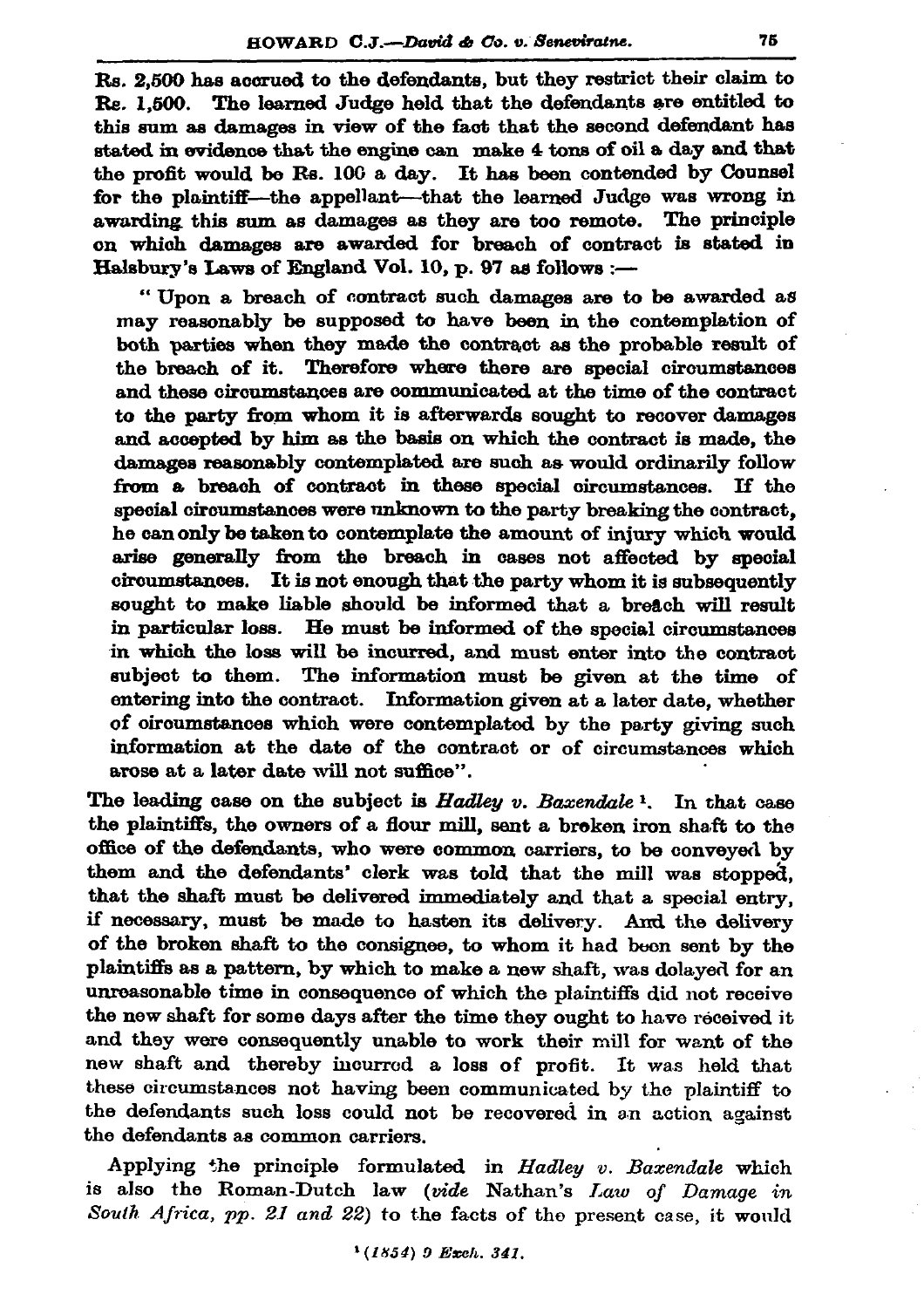Rs. 2.500 has accrued to the defendants, but they restrict their claim to Re. 1.500. The learned Judge held that the defendants are entitled to this sum as damages in view of the fact that the second defendant has stated in evidence that the engine can make 4 tons of oil a day and that the profit would be Rs. 100 a day. It has been contended by Counsel for the plaintiff-the appellant-that the learned Judge was wrong in awarding this sum as damages as they are too remote. The principle on which damages are awarded for breach of contract is stated in Halsbury's Laws of England Vol. 10, p. 97 as follows :-

"Upon a breach of contract such damages are to be awarded as may reasonably be supposed to have been in the contemplation of both parties when they made the contract as the probable result of the breach of it. Therefore where there are special circumstances and these circumstances are communicated at the time of the contract to the party from whom it is afterwards sought to recover damages and accepted by him as the basis on which the contract is made, the damages reasonably contemplated are such as would ordinarily follow from a breach of contract in these special circumstances. If the special circumstances were unknown to the party breaking the contract. he can only be taken to contemplate the amount of injury which would arise generally from the breach in cases not affected by special  $circumstances.$  It is not enough that the party whom it is subsequently sought to make liable should be informed that a breach will result in particular loss. He must be informed of the special circumstances in which the loss will be incurred, and must enter into the contract subject to them. The information must be given at the time of entering into the contract. Information given at a later date, whether of oircumstances which were contemplated by the party giving such information at the date of the contract or of circumstances which arose at a later date will not suffice".

The leading case on the subject is Hadley v. Baxendale  $\frac{1}{2}$ . In that case the plaintiffs, the owners of a flour mill, sent a broken iron shaft to the office of the defendants, who were common carriers, to be conveyed by them and the defendants' clerk was told that the mill was stopped. that the shaft must be delivered immediately and that a special entry, if necessary, must be made to hasten its delivery. And the delivery of the broken shaft to the consignee, to whom it had been sent by the plaintiffs as a pattern, by which to make a new shaft, was dolayed for an unreasonable time in consequence of which the plaintiffs did not receive the new shaft for some days after the time they ought to have received it and they were consequently unable to work their mill for want of the new shaft and thereby incurred a loss of profit. It was held that these circumstances not having been communicated by the plaintiff to the defendants such loss could not be recovered in an action against the defendants as common carriers.

Applying the principle formulated in Hadley v. Baxendale which is also the Roman-Dutch law (vide Nathan's Law of Damage in South Africa, pp. 21 and 22) to the facts of the present case, it would